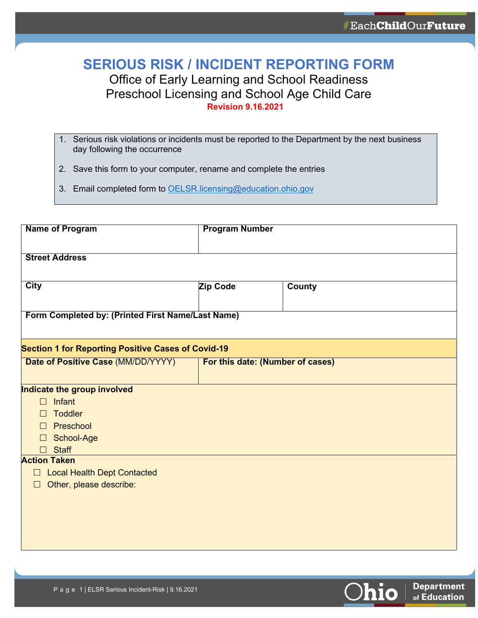## **SERIOUS RISK / INCIDENT REPORTING FORM**

## Office of Early Learning and School Readiness Preschool Licensing and School Age Child Care **Revision 9.16.2021**

- 1. Serious risk violations or incidents must be reported to the Department by the next business day following the occurrence
- 2. Save this form to your computer, rename and complete the entries
- 3. Email completed form to [OELSR.licensing@education.ohio.gov](mailto:OELSR.licensing@education.ohio.gov)

| <b>Name of Program</b>                                    |          | <b>Program Number</b>            |  |
|-----------------------------------------------------------|----------|----------------------------------|--|
| <b>Street Address</b>                                     |          |                                  |  |
|                                                           |          |                                  |  |
| <b>City</b>                                               | Zip Code | County                           |  |
|                                                           |          |                                  |  |
| Form Completed by: (Printed First Name/Last Name)         |          |                                  |  |
|                                                           |          |                                  |  |
| <b>Section 1 for Reporting Positive Cases of Covid-19</b> |          |                                  |  |
| Date of Positive Case (MM/DD/YYYY)                        |          | For this date: (Number of cases) |  |
|                                                           |          |                                  |  |
| Indicate the group involved                               |          |                                  |  |
| Infant<br>$\Box$                                          |          |                                  |  |
| <b>Toddler</b><br>$\Box$                                  |          |                                  |  |
| $\Box$ Preschool                                          |          |                                  |  |
| School-Age<br>$\Box$                                      |          |                                  |  |
| <b>Staff</b><br>$\Box$                                    |          |                                  |  |
| <b>Action Taken</b>                                       |          |                                  |  |
| <b>Local Health Dept Contacted</b><br>$\Box$              |          |                                  |  |
| Other, please describe:<br>$\Box$                         |          |                                  |  |
|                                                           |          |                                  |  |
|                                                           |          |                                  |  |
|                                                           |          |                                  |  |
|                                                           |          |                                  |  |
|                                                           |          |                                  |  |

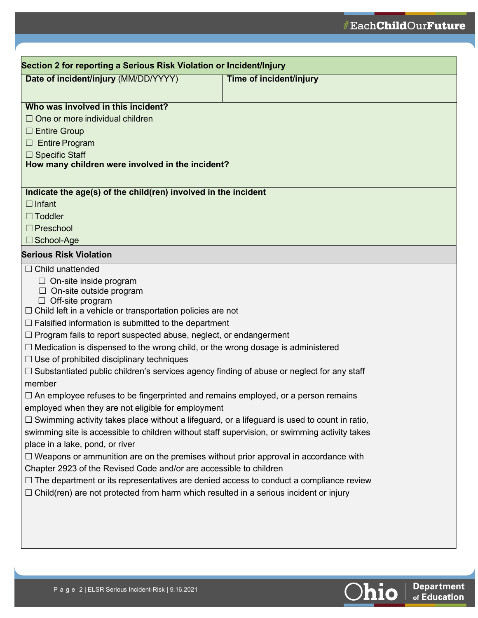| Date of incident/injury (MM/DD/YYYY)                                                                | Time of incident/injury |
|-----------------------------------------------------------------------------------------------------|-------------------------|
|                                                                                                     |                         |
| Who was involved in this incident?                                                                  |                         |
| $\Box$ One or more individual children                                                              |                         |
| $\Box$ Entire Group                                                                                 |                         |
| $\Box$ Entire Program                                                                               |                         |
| $\Box$ Specific Staff                                                                               |                         |
| How many children were involved in the incident?                                                    |                         |
|                                                                                                     |                         |
| Indicate the age(s) of the child(ren) involved in the incident                                      |                         |
| $\Box$ Infant                                                                                       |                         |
| $\Box$ Toddler                                                                                      |                         |
| $\Box$ Preschool                                                                                    |                         |
| $\Box$ School-Age                                                                                   |                         |
| <b>Serious Risk Violation</b>                                                                       |                         |
| $\Box$ Child unattended                                                                             |                         |
| $\Box$ On-site inside program                                                                       |                         |
| $\Box$ On-site outside program<br>$\Box$ Off-site program                                           |                         |
| $\Box$ Child left in a vehicle or transportation policies are not                                   |                         |
| $\Box$ Falsified information is submitted to the department                                         |                         |
| $\Box$ Program fails to report suspected abuse, neglect, or endangerment                            |                         |
| $\Box$ Medication is dispensed to the wrong child, or the wrong dosage is administered              |                         |
| $\Box$ Use of prohibited disciplinary techniques                                                    |                         |
| $\Box$ Substantiated public children's services agency finding of abuse or neglect for any staff    |                         |
| member                                                                                              |                         |
| $\Box$ An employee refuses to be fingerprinted and remains employed, or a person remains            |                         |
| employed when they are not eligible for employment                                                  |                         |
| $\Box$ Swimming activity takes place without a lifeguard, or a lifeguard is used to count in ratio, |                         |
| swimming site is accessible to children without staff supervision, or swimming activity takes       |                         |
| place in a lake, pond, or river                                                                     |                         |
| $\Box$ Weapons or ammunition are on the premises without prior approval in accordance with          |                         |
| Chapter 2923 of the Revised Code and/or are accessible to children                                  |                         |
| $\Box$ The department or its representatives are denied access to conduct a compliance review       |                         |
| $\Box$ Child(ren) are not protected from harm which resulted in a serious incident or injury        |                         |
|                                                                                                     |                         |
|                                                                                                     |                         |
|                                                                                                     |                         |
|                                                                                                     |                         |